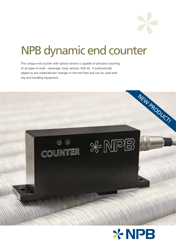

# NPB dynamic end counter

This unique end counter with optical sensors is capable of precision counting of all types of ends – beverage, food, aerosol, EOE etc. It automatically adapts to any material/color changes in the end flow and can be used with any end handling equipment.